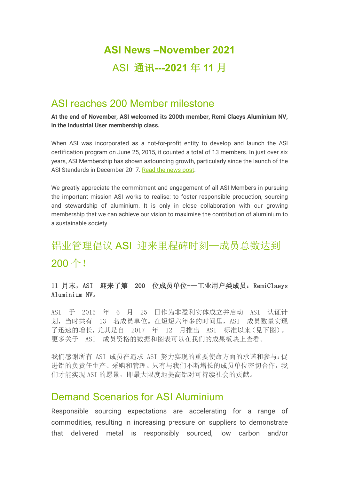# **ASI News –November 2021** ASI 通讯**---2021** 年 **11** 月

## ASI reaches 200 Member milestone

**At the end of November, ASI welcomed its 200th member, Remi Claeys Aluminium NV, in the Industrial User membership class.**

When ASI was incorporated as a not-for-profit entity to develop and launch the ASI certification program on June 25, 2015, it counted a total of 13 members. In just over six years, ASI Membership has shown astounding growth, particularly since the launch of the ASI Standards in December 2017. Read the news post.

We greatly appreciate the commitment and engagement of all ASI Members in pursuing the important mission ASI works to realise: to foster responsible production, sourcing and stewardship of aluminium. It is only in close collaboration with our growing membership that we can achieve our vision to maximise the contribution of aluminium to a sustainable society.

# 铝业管理倡议 ASI 迎来里程碑时刻一成员总数达到 200 个!

#### 11 月末, ASI 迎来了第 200 位成员单位---工业用户类成员: RemiClaeys Aluminium NV。

ASI 于 2015 年 6 月 25 日作为非盈利实体成立并启动 ASI 认证计 划,当时共有 13 名成员单位。在短短六年多的时间里,ASI 成员数量实现 了迅速的增长,尤其是自 2017 年 12 月推出 ASI 标准以来(见下图)。 更多关于 ASI 成员资格的数据和图表可以在我们的成果板块上查看。

我们感谢所有 ASI 成员在追求 ASI 努力实现的重要使命方面的承诺和参与:促 进铝的负责任生产、采购和管理。只有与我们不断增长的成员单位密切合作,我 们才能实现 ASI 的愿景,即最大限度地提高铝对可持续社会的贡献。

## Demand Scenarios for ASI Aluminium

Responsible sourcing expectations are accelerating for a range of commodities, resulting in increasing pressure on suppliers to demonstrate that delivered metal is responsibly sourced, low carbon and/or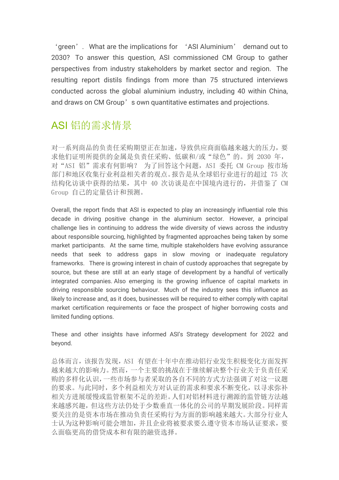'green'. What are the implications for 'ASI Aluminium' demand out to 2030? To answer this question, ASI commissioned CM Group to gather perspectives from industry stakeholders by market sector and region. The resulting report distils findings from more than 75 structured interviews conducted across the global aluminium industry, including 40 within China, and draws on CM Group's own quantitative estimates and projections.

# ASI 铝的需求情景

对一系列商品的负责任采购期望正在加速,导致供应商面临越来越大的压力,要 求他们证明所提供的金属是负责任采购、低碳和/或"绿色"的。到 2030 年, 对"ASI 铝"需求有何影响? 为了回答这个问题,ASI 委托 CM Group 按市场 部门和地区收集行业利益相关者的观点。报告是从全球铝行业进行的超过 75 次 结构化访谈中获得的结果,其中 40 次访谈是在中国境内进行的,并借鉴了 CM Group 自己的定量估计和预测。

Overall, the report finds that ASI is expected to play an increasingly influential role this decade in driving positive change in the aluminium sector. However, a principal challenge lies in continuing to address the wide diversity of views across the industry about responsible sourcing, highlighted by fragmented approaches being taken by some market participants. At the same time, multiple stakeholders have evolving assurance needs that seek to address gaps in slow moving or inadequate regulatory frameworks. There is growing interest in chain of custody approaches that segregate by source, but these are still at an early stage of development by a handful of vertically integrated companies. Also emerging is the growing influence of capital markets in driving responsible sourcing behaviour. Much of the industry sees this influence as likely to increase and, as it does, businesses will be required to either comply with capital market certification requirements or face the prospect of higher borrowing costs and limited funding options.

These and other insights have informed ASI's Strategy development for 2022 and beyond.

总体而言,该报告发现,ASI 有望在十年中在推动铝行业发生积极变化方面发挥 越来越大的影响力。然而,一个主要的挑战在于继续解决整个行业关于负责任采 购的多样化认识,一些市场参与者采取的各自不同的方式方法强调了对这一议题 的要求。与此同时,多个利益相关方对认证的需求和要求不断变化,以寻求弥补 相关方进展缓慢或监管框架不足的差距。人们对铝材料进行溯源的监管链方法越 来越感兴趣,但这些方法仍处于少数垂直一体化的公司的早期发展阶段。同样需 要关注的是资本市场在推动负责任采购行为方面的影响越来越大。大部分行业人 士认为这种影响可能会增加,并且企业将被要求要么遵守资本市场认证要求,要 么面临更高的借贷成本和有限的融资选择。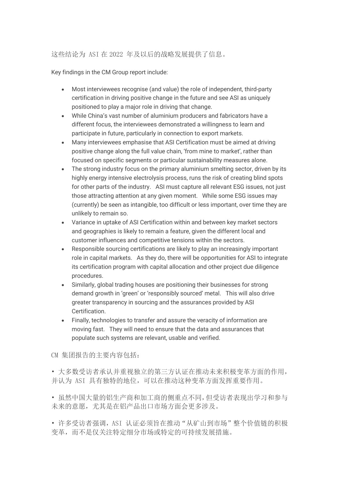#### 这些结论为 ASI 在 2022 年及以后的战略发展提供了信息。

Key findings in the CM Group report include:

- Most interviewees recognise (and value) the role of independent, third-party certification in driving positive change in the future and see ASI as uniquely positioned to play a major role in driving that change.
- While China's vast number of aluminium producers and fabricators have a different focus, the interviewees demonstrated a willingness to learn and participate in future, particularly in connection to export markets.
- Many interviewees emphasise that ASI Certification must be aimed at driving positive change along the full value chain, 'from mine to market', rather than focused on specific segments or particular sustainability measures alone.
- The strong industry focus on the primary aluminium smelting sector, driven by its highly energy intensive electrolysis process, runs the risk of creating blind spots for other parts of the industry. ASI must capture all relevant ESG issues, not just those attracting attention at any given moment. While some ESG issues may (currently) be seen as intangible, too difficult or less important, over time they are unlikely to remain so.
- Variance in uptake of ASI Certification within and between key market sectors and geographies is likely to remain a feature, given the different local and customer influences and competitive tensions within the sectors.
- Responsible sourcing certifications are likely to play an increasingly important role in capital markets. As they do, there will be opportunities for ASI to integrate its certification program with capital allocation and other project due diligence procedures.
- Similarly, global trading houses are positioning their businesses for strong demand growth in 'green' or 'responsibly sourced' metal. This will also drive greater transparency in sourcing and the assurances provided by ASI Certification.
- Finally, technologies to transfer and assure the veracity of information are moving fast. They will need to ensure that the data and assurances that populate such systems are relevant, usable and verified.

CM 集团报告的主要内容包括:

• 大多数受访者承认并重视独立的第三方认证在推动未来积极变革方面的作用, 并认为 ASI 具有独特的地位,可以在推动这种变革方面发挥重要作用。

• 虽然中国大量的铝生产商和加工商的侧重点不同,但受访者表现出学习和参与 未来的意愿,尤其是在铝产品出口市场方面会更多涉及。

• 许多受访者强调,ASI 认证必须旨在推动"从矿山到市场"整个价值链的积极 变革,而不是仅关注特定细分市场或特定的可持续发展措施。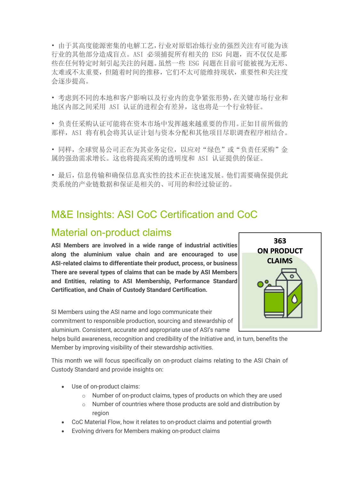• 由于其高度能源密集的电解工艺,行业对原铝冶炼行业的强烈关注有可能为该 行业的其他部分造成盲点。ASI 必须捕捉所有相关的 ESG 问题,而不仅仅是那 些在任何特定时刻引起关注的问题。虽然一些 ESG 问题在目前可能被视为无形、 太难或不太重要,但随着时间的推移,它们不太可能维持现状,重要性和关注度 会逐步提高。

• 考虑到不同的本地和客户影响以及行业内的竞争紧张形势,在关键市场行业和 地区内部之间采用 ASI 认证的进程会有差异,这也将是一个行业特征。

• 负责任采购认证可能将在资本市场中发挥越来越重要的作用。正如目前所做的 那样, ASI 将有机会将其认证计划与资本分配和其他项目尽职调查程序相结合。

• 同样,全球贸易公司正在为其业务定位,以应对"绿色"或"负责任采购"金 属的强劲需求增长。这也将提高采购的透明度和 ASI 认证提供的保证。

• 最后,信息传输和确保信息真实性的技术正在快速发展。他们需要确保提供此 类系统的产业链数据和保证是相关的、可用的和经过验证的。

## M&E Insights: ASI CoC Certification and CoC

### Material on-product claims

**ASI Members are involved in a wide range of industrial activities along the aluminium value chain and are encouraged to use ASI-related claims to differentiate their product, process, or business. There are several types of claims that can be made by ASI Members and Entities, relating to ASI Membership, Performance Standard Certification, and Chain of Custody Standard Certification.**

SI Members using the ASI name and logo communicate their commitment to responsible production, sourcing and stewardship of aluminium. Consistent, accurate and appropriate use of ASI's name



helps build awareness, recognition and credibility of the Initiative and, in turn, benefits the Member by improving visibility of their stewardship activities.

This month we will focus specifically on on-product claims relating to the ASI Chain of Custody Standard and provide insights on:

- Use of on-product claims:
	- o Number of on-product claims, types of products on which they are used
	- o Number of countries where those products are sold and distribution by region
- CoC Material Flow, how it relates to on-product claims and potential growth
- Evolving drivers for Members making on-product claims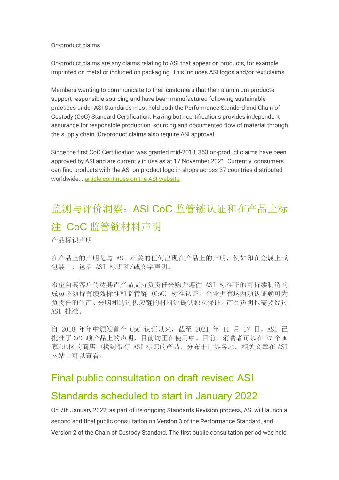#### On-product claims

On-product claims are any claims relating to ASI that appear on products, for example imprinted on metal or included on packaging. This includes ASI logos and/or text claims.

Members wanting to communicate to their customers that their aluminium products support responsible sourcing and have been manufactured following sustainable practices under ASI Standards must hold both the Performance Standard and Chain of Custody (CoC) Standard Certification. Having both certifications provides independent assurance for responsible production, sourcing and documented flow of material through the supply chain. On-product claims also require ASI approval.

Since the first CoC Certification was granted mid-2018, 363 on-product claims have been approved by ASI and are currently in use as at 17 November 2021. Currently, consumers can find products with the ASI on-product logo in shops across 37 countries distributed worldwide... article continues on the ASI website

# 监测与评价洞察: ASI CoC 监管链认证和在产品上标 注 CoC 监管链材料声明

产品标识声明

在产品上的声明是与 ASI 相关的任何出现在产品上的声明,例如印在金属上或 包装上,包括 ASI 标识和/或文字声明。

希望向其客户传达其铝产品支持负责任采购并遵循 ASI 标准下的可持续制造的 成员必须持有绩效标准和监管链 (CoC) 标准认证。企业拥有这两项认证就可为 负责任的生产、采购和通过供应链的材料流提供独立保证。产品声明也需要经过 ASI 批准。

自 2018 年年中颁发首个 CoC 认证以来,截至 2021 年 11 月 17 日,ASI 已 批准了 363 项产品上的声明,目前均正在使用中。目前,消费者可以在 37 个国 家/地区的商店中找到带有 ASI 标识的产品,分布于世界各地。相关文章在 ASI 网站上可以查看。

# Final public consultation on draft revised ASI

### Standards scheduled to start in January 2022

On 7th January 2022, as part of its ongoing Standards Revision process, ASI will launch a second and final public consultation on Version 3 of the Performance Standard, and Version 2 of the Chain of Custody Standard. The first public consultation period was held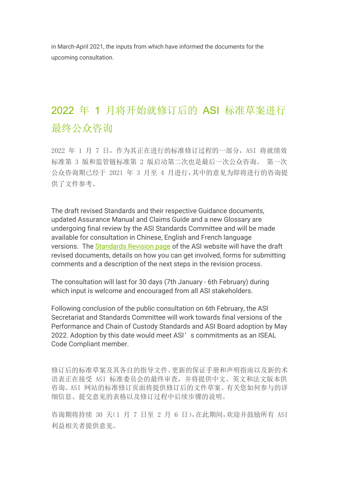in March-April 2021, the inputs from which have informed the documents for the upcoming consultation.

# 2022 年 1 月将开始就修订后的 ASI 标准草案进行 最终公众咨询

2022 年 1 月 7 日,作为其正在进行的标准修订过程的一部分,ASI 将就绩效 标准第 3 版和监管链标准第 2 版启动第二次也是最后一次公众咨询。 第一次 公众咨询期已经于 2021 年 3 月至 4 月进行,其中的意见为即将进行的咨询提 供了文件参考。

The draft revised Standards and their respective Guidance documents, updated Assurance Manual and Claims Guide and a new Glossary are undergoing final review by the ASI Standards Committee and will be made available for consultation in Chinese, English and French language versions. The Standards Revision page of the ASI website will have the draft revised documents, details on how you can get involved, forms for submitting comments and a description of the next steps in the revision process.

The consultation will last for 30 days (7th January - 6th February) during which input is welcome and encouraged from all ASI stakeholders.

Following conclusion of the public consultation on 6th February, the ASI Secretariat and Standards Committee will work towards final versions of the Performance and Chain of Custody Standards and ASI Board adoption by May 2022. Adoption by this date would meet ASI's commitments as an ISEAL Code Compliant member.

修订后的标准草案及其各自的指导文件、更新的保证手册和声明指南以及新的术 语表正在接受 ASI 标准委员会的最终审查,并将提供中文、英文和法文版本供 咨询。ASI 网站的标准修订页面将提供修订后的文件草案、有关您如何参与的详 细信息、提交意见的表格以及修订过程中后续步骤的说明。

咨询期将持续 30 天(1 月 7 日至 2 月 6 日),在此期间,欢迎并鼓励所有 ASI 利益相关者提供意见。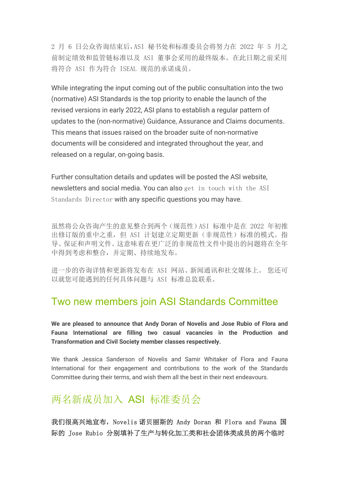2 月 6 日公众咨询结束后,ASI 秘书处和标准委员会将努力在 2022 年 5 月之 前制定绩效和监管链标准以及 ASI 董事会采用的最终版本。在此日期之前采用 将符合 ASI 作为符合 ISEAL 规范的承诺成员。

While integrating the input coming out of the public consultation into the two (normative) ASI Standards is the top priority to enable the launch of the revised versions in early 2022, ASI plans to establish a regular pattern of updates to the (non-normative) Guidance, Assurance and Claims documents. This means that issues raised on the broader suite of non-normative documents will be considered and integrated throughout the year, and released on a regular, on-going basis.

Further consultation details and updates will be posted the ASI website, newsletters and social media. You can also get in touch with the ASI Standards Director with any specific questions you may have.

虽然将公众咨询产生的意见整合到两个(规范性)ASI 标准中是在 2022 年初推 出修订版的重中之重,但 ASI 计划建立定期更新(非规范性)标准的模式。指 导、保证和声明文件。这意味着在更广泛的非规范性文件中提出的问题将在全年 中得到考虑和整合,并定期、持续地发布。

进一步的咨询详情和更新将发布在 ASI 网站、新闻通讯和社交媒体上。 您还可 以就您可能遇到的任何具体问题与 ASI 标准总监联系。

## Two new members join ASI Standards Committee

**We are pleased to announce that Andy Doran of Novelis and Jose Rubio of Flora and Fauna International are filling two casual vacancies in the Production and Transformation and Civil Society member classes respectively.** 

We thank Jessica Sanderson of Novelis and Samir Whitaker of Flora and Fauna International for their engagement and contributions to the work of the Standards Committee during their terms, and wish them all the best in their next endeavours.

# 两名新成员加入 ASI 标准委员会

我们很高兴地宣布,Novelis 诺贝丽斯的 Andy Doran 和 Flora and Fauna 国 际的 Jose Rubio 分别填补了生产与转化加工类和社会团体类成员的两个临时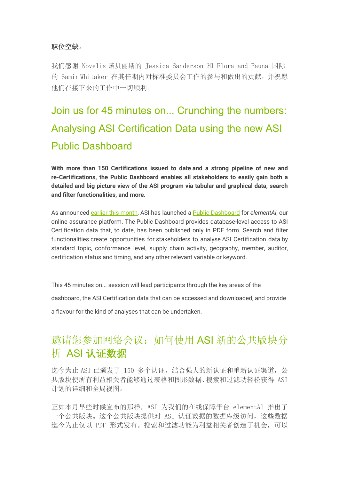#### 职位空缺。

我们感谢 Novelis 诺贝丽斯的 Jessica Sanderson 和 Flora and Fauna 国际 的 Samir Whitaker 在其任期内对标准委员会工作的参与和做出的贡献,并祝愿 他们在接下来的工作中一切顺利。

# Join us for 45 minutes on... Crunching the numbers: Analysing ASI Certification Data using the new ASI Public Dashboard

**With more than 150 Certifications issued to date and a strong pipeline of new and re-Certifications, the Public Dashboard enables all stakeholders to easily gain both a detailed and big picture view of the ASI program via tabular and graphical data, search and filter functionalities, and more.**

As announced earlier this month, ASI has launched a Public Dashboard for *elementAl*, our online assurance platform. The Public Dashboard provides database-level access to ASI Certification data that, to date, has been published only in PDF form. Search and filter functionalities create opportunities for stakeholders to analyse ASI Certification data by standard topic, conformance level, supply chain activity, geography, member, auditor, certification status and timing, and any other relevant variable or keyword.

This 45 minutes on... session will lead participants through the key areas of the dashboard, the ASI Certification data that can be accessed and downloaded, and provide a flavour for the kind of analyses that can be undertaken.

# 邀请您参加网络会议:如何使用 ASI 新的公共版块分 析 ASI 认证数据

迄今为止 ASI 已颁发了 150 多个认证,结合强大的新认证和重新认证渠道,公 共版块使所有利益相关者能够通过表格和图形数据、搜索和过滤功轻松获得 ASI 计划的详细和全局视图。

正如本月早些时候宣布的那样,ASI 为我们的在线保障平台 elementAl 推出了 一个公共版块。这个公共版块提供对 ASI 认证数据的数据库级访问,这些数据 迄今为止仅以 PDF 形式发布。搜索和过滤功能为利益相关者创造了机会,可以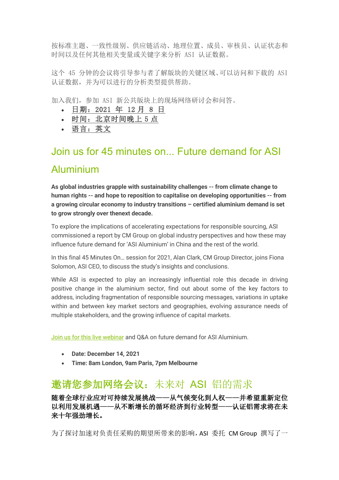按标准主题、一致性级别、供应链活动、地理位置、成员、审核员、认证状态和 时间以及任何其他相关变量或关键字来分析 ASI 认证数据。

这个 45 分钟的会议将引导参与者了解版块的关键区域、可以访问和下载的 ASI 认证数据,并为可以进行的分析类型提供帮助。

加入我们,参加 ASI 新公共版块上的现场网络研讨会和问答。

- 日期:2021 年 12 月 8 日
- 时间: 北京时间晚上 5 点
- 语言:英文

# Join us for 45 minutes on... Future demand for ASI Aluminium

**As global industries grapple with sustainability challenges -- from climate change to human rights -- and hope to reposition to capitalise on developing opportunities -- from a growing circular economy to industry transitions – certified aluminium demand is set to grow strongly over thenext decade.**

To explore the implications of accelerating expectations for responsible sourcing, ASI commissioned a report by CM Group on global industry perspectives and how these may influence future demand for 'ASI Aluminium' in China and the rest of the world.

In this final 45 Minutes On… session for 2021, Alan Clark, CM Group Director, joins Fiona Solomon, ASI CEO, to discuss the study's insights and conclusions.

While ASI is expected to play an increasingly influential role this decade in driving positive change in the aluminium sector, find out about some of the key factors to address, including fragmentation of responsible sourcing messages, variations in uptake within and between key market sectors and geographies, evolving assurance needs of multiple stakeholders, and the growing influence of capital markets.

Join us for this live webinar and Q&A on future demand for ASI Aluminium.

- **Date: December 14, 2021**
- **Time: 8am London, 9am Paris, 7pm Melbourne**

# 邀请您参加网络会议:未来对 ASI 铝的需求

随着全球行业应对可持续发展挑战——从气候变化到人权——并希望重新定位 以利用发展机遇——从不断增长的循环经济到行业转型——认证铝需求将在未 来十年强劲增长。

为了探讨加速对负责任采购的期望所带来的影响,ASI 委托 CM Group 撰写了一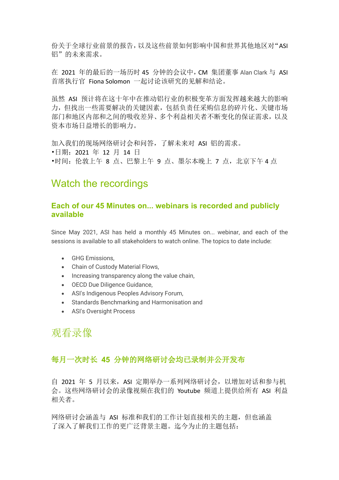份关于全球行业前景的报告,以及这些前景如何影响中国和世界其他地区对"ASI 铝"的未来需求。

在 2021 年的最后的一场历时 45 分钟的会议中,CM 集团董事 Alan Clark 与 ASI 首席执行官 Fiona Solomon 一起讨论该研究的见解和结论。

虽然 ASI 预计将在这十年中在推动铝行业的积极变革方面发挥越来越大的影响 力,但找出一些需要解决的关键因素,包括负责任采购信息的碎片化、关键市场 部门和地区内部和之间的吸收差异、多个利益相关者不断变化的保证需求,以及 资本市场日益增长的影响力。

加入我们的现场网络研讨会和问答,了解未来对 ASI 铝的需求。 •日期:2021 年 12 月 14 日 •时间:伦敦上午 8 点、巴黎上午 9 点、墨尔本晚上 7 点,北京下午 4 点

## Watch the recordings

#### **Each of our 45 Minutes on... webinars is recorded and publicly available**

Since May 2021, ASI has held a monthly 45 Minutes on... webinar, and each of the sessions is available to all stakeholders to watch online. The topics to date include:

- GHG Emissions,
- Chain of Custody Material Flows,
- Increasing transparency along the value chain,
- OECD Due Diligence Guidance,
- ASI's Indigenous Peoples Advisory Forum,
- Standards Benchmarking and Harmonisation and
- ASI's Oversight Process

## 观看录像

#### 每月一次时长 **45** 分钟的网络研讨会均已录制并公开发布

自 2021 年 5 月以来, ASI 定期举办一系列网络研讨会, 以增加对话和参与机 会。这些网络研讨会的录像视频在我们的 Youtube 频道上提供给所有 ASI 利益 相关者。

网络研讨会涵盖与 ASI 标准和我们的工作计划直接相关的主题,但也涵盖 了深入了解我们工作的更广泛背景主题。迄今为止的主题包括: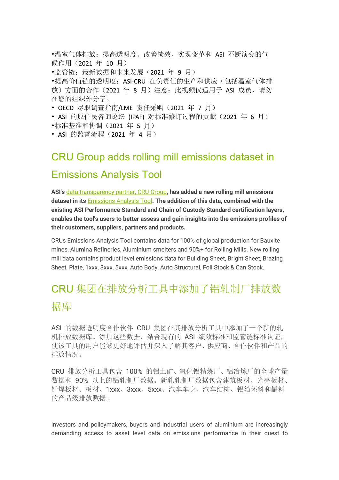•温室气体排放:提高透明度、改善绩效、实现变革和 ASI 不断演变的气 候作用(2021 年 10 月)

•监管链: 最新数据和未来发展(2021 年 9 月)

•提高价值链的透明度: ASI-CRU 在负责任的生产和供应(包括温室气体排 放)方面的合作(2021年 8月)注意: 此视频仅适用于 ASI 成员, 请勿 在您的组织外分享。

• OECD 尽职调查指南/LME 责任采购 (2021 年 7 月)

• ASI 的原住民咨询论坛 (IPAF) 对标准修订过程的贡献(2021 年 6 月)

- •标准基准和协调(2021 年 5 月)
- ASI 的监督流程 (2021 年 4 月)

## CRU Group adds rolling mill emissions dataset in

## Emissions Analysis Tool

**ASI's** data transparency partner, CRU Group**, has added a new rolling mill emissions dataset in its** Emissions Analysis Tool**. The addition of this data, combined with the existing ASI Performance Standard and Chain of Custody Standard certification layers, enables the tool's users to better assess and gain insights into the emissions profiles of their customers, suppliers, partners and products.**

CRUs Emissions Analysis Tool contains data for 100% of global production for Bauxite mines, Alumina Refineries, Aluminium smelters and 90%+ for Rolling Mills. New rolling mill data contains product level emissions data for Building Sheet, Bright Sheet, Brazing Sheet, Plate, 1xxx, 3xxx, 5xxx, Auto Body, Auto Structural, Foil Stock & Can Stock.

# CRU 集团在排放分析工具中添加了铝轧制厂排放数 据库

ASI 的数据透明度合作伙伴 CRU 集团在其排放分析工具中添加了一个新的轧 机排放数据库。添加这些数据,结合现有的 ASI 绩效标准和监管链标准认证, 使该工具的用户能够更好地评估并深入了解其客户、供应商、合作伙伴和产品的 排放情况。

CRU 排放分析工具包含 100% 的铝土矿、氧化铝精炼厂、铝冶炼厂的全球产量 数据和 90% 以上的铝轧制厂数据。新轧轧制厂数据包含建筑板材、光亮板材、 钎焊板材、板材、1xxx、3xxx、5xxx、汽车车身、汽车结构、铝箔坯料和罐料 的产品级排放数据。

Investors and policymakers, buyers and industrial users of aluminium are increasingly demanding access to asset level data on emissions performance in their quest to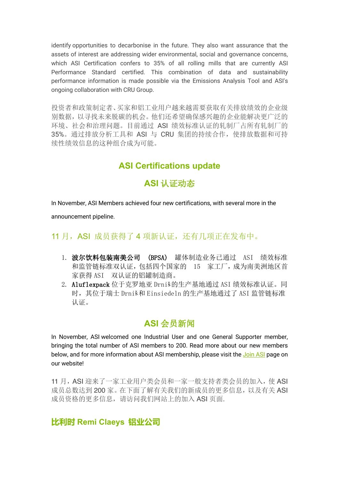identify opportunities to decarbonise in the future. They also want assurance that the assets of interest are addressing wider environmental, social and governance concerns, which ASI Certification confers to 35% of all rolling mills that are currently ASI Performance Standard certified. This combination of data and sustainability performance information is made possible via the Emissions Analysis Tool and ASI's ongoing collaboration with CRU Group.

投资者和政策制定者、买家和铝工业用户越来越需要获取有关排放绩效的企业级 别数据,以寻找未来脱碳的机会。他们还希望确保感兴趣的企业能解决更广泛的 环境、社会和治理问题。目前通过 ASI 绩效标准认证的轧制厂占所有轧制厂的 35%。通过排放分析工具和 ASI 与 CRU 集团的持续合作,使排放数据和可持 续性绩效信息的这种组合成为可能。

## **ASI Certifications update**

### **ASI** 认证动态

In November, ASI Members achieved four new certifications, with several more in the

announcement pipeline.

#### 11 月, ASI 成员获得了 4 项新认证, 还有几项正在发布中。

- 1. 波尔饮料包装南美公司 (BPSA) 罐体制造业务已通过 ASI 绩效标准 和监管链标准双认证,包括四个国家的 15 家工厂,成为南美洲地区首 家获得 ASI 双认证的铝罐制造商。
- 2. Aluflexpack 位于克罗地亚 Drniš的生产基地通过 ASI 绩效标准认证。同 时,其位于瑞士 Drniš和 Einsiedeln 的生产基地通过了 ASI 监管链标准 认证。

## **ASI** 会员新闻

In November, ASI welcomed one Industrial User and one General Supporter member, bringing the total number of ASI members to 200. Read more about our new members below, and for more information about ASI membership, please visit the Join ASI page on our website!

11 月, ASI 迎来了一家工业用户类会员和一家一般支持者类会员的加入, 使 ASI 成员总数达到 200 家。在下面了解有关我们的新成员的更多信息, 以及有关 ASI 成员资格的更多信息,请访问我们网站上的加入 ASI 页面.

### **比利时 Remi Claeys 铝业公司**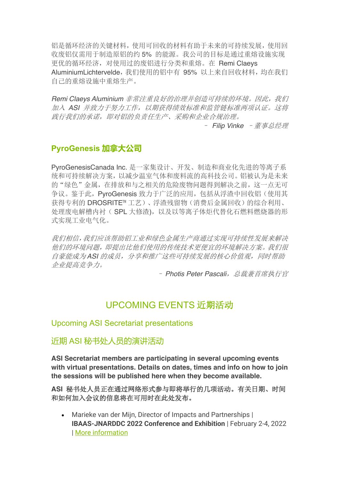铝是循环经济的关键材料,使用可回收的材料有助于未来的可持续发展,使用回 收废铝仅需用于制造原铝的约 5% 的能源。我公司的目标是通过重熔设施实现 更优的循环经济,对使用过的废铝进行分类和重熔。在 Remi Claeys AluminiumLichtervelde,我们使用的铝中有 95% 以上来自回收材料,均在我们 自己的重熔设施中重熔生产。

*Remi Claeys Aluminium* 非常注重良好的治理并创造可持续的环境。因此,我们 加入 *ASI* 并致力于努力工作,以期获得绩效标准和监管链标准两项认证。这将 践行我们的承诺,即对铝的负责任生产、采购和企业合规治理。

– *Filip Vinke* –董事总经理

### **PyroGenesis 加拿大公司**

PyroGenesisCanada Inc. 是一家集设计、开发、制造和商业化先进的等离子系 统和可持续解决方案,以减少温室气体和废料流的高科技公司。铝被认为是未来 的"绿色"金属,在排放和与之相关的危险废物问题得到解决之前,这一点无可 争议。鉴于此,PyroGenesis 致力于广泛的应用,包括从浮渣中回收铝(使用其 获得专利的 DROSRITE™ 工艺)、浮渣残留物(消费后金属回收)的综合利用、 处理废电解槽内衬(SPL 大修渣),以及以等离子体炬代替化石燃料燃烧器的形 式实现工业电气化。

我们相信,我们应该帮助铝工业和绿色金属生产商通过实现可持续性发展来解决 他们的环境问题,即提出比他们使用的传统技术更便宜的环境解决方案。我们很 自豪能成为 *ASI* 的成员,分享和推广这些可持续发展的核心价值观,同时帮助 企业提高竞争力。

– *Photis Peter Pascali*,总裁兼首席执行官

### UPCOMING EVENTS 近期活动

#### Upcoming ASI Secretariat presentations

#### 近期 ASI 秘书处人员的演讲活动

**ASI Secretariat members are participating in several upcoming events with virtual presentations. Details on dates, times and info on how to join the sessions will be published here when they become available.**

**ASI** 秘书处人员正在通过网络形式参与即将举行的几项活动。有关日期、时间 和如何加入会议的信息将在可用时在此处发布。

• Marieke van der Mijn, Director of Impacts and Partnerships | **IBAAS-JNARDDC 2022 Conference and Exhibition** | February 2-4, 2022 | More information